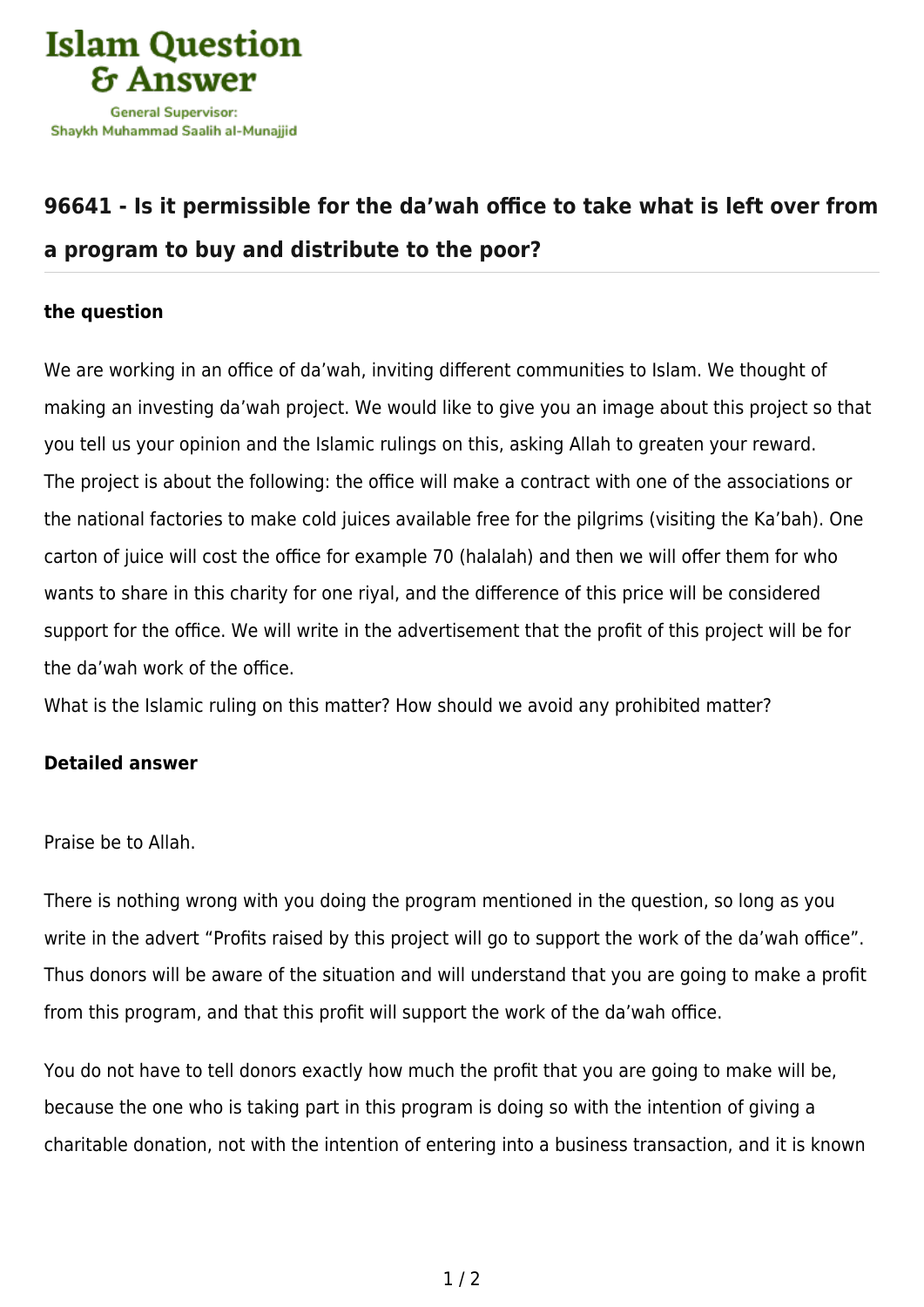

## **[96641 - Is it permissible for the da'wah office to take what is left over from](https://islamqa.info/en/answers/96641/is-it-permissible-for-the-dawah-office-to-take-what-is-left-over-from-a-program-to-buy-and-distribute-to-the-poor) [a program to buy and distribute to the poor?](https://islamqa.info/en/answers/96641/is-it-permissible-for-the-dawah-office-to-take-what-is-left-over-from-a-program-to-buy-and-distribute-to-the-poor)**

## **the question**

We are working in an office of da'wah, inviting different communities to Islam. We thought of making an investing da'wah project. We would like to give you an image about this project so that you tell us your opinion and the Islamic rulings on this, asking Allah to greaten your reward. The project is about the following: the office will make a contract with one of the associations or the national factories to make cold juices available free for the pilgrims (visiting the Ka'bah). One carton of juice will cost the office for example 70 (halalah) and then we will offer them for who wants to share in this charity for one riyal, and the difference of this price will be considered support for the office. We will write in the advertisement that the profit of this project will be for the da'wah work of the office.

What is the Islamic ruling on this matter? How should we avoid any prohibited matter?

## **Detailed answer**

Praise be to Allah.

There is nothing wrong with you doing the program mentioned in the question, so long as you write in the advert "Profits raised by this project will go to support the work of the da'wah office". Thus donors will be aware of the situation and will understand that you are going to make a profit from this program, and that this profit will support the work of the da'wah office.

You do not have to tell donors exactly how much the profit that you are going to make will be, because the one who is taking part in this program is doing so with the intention of giving a charitable donation, not with the intention of entering into a business transaction, and it is known